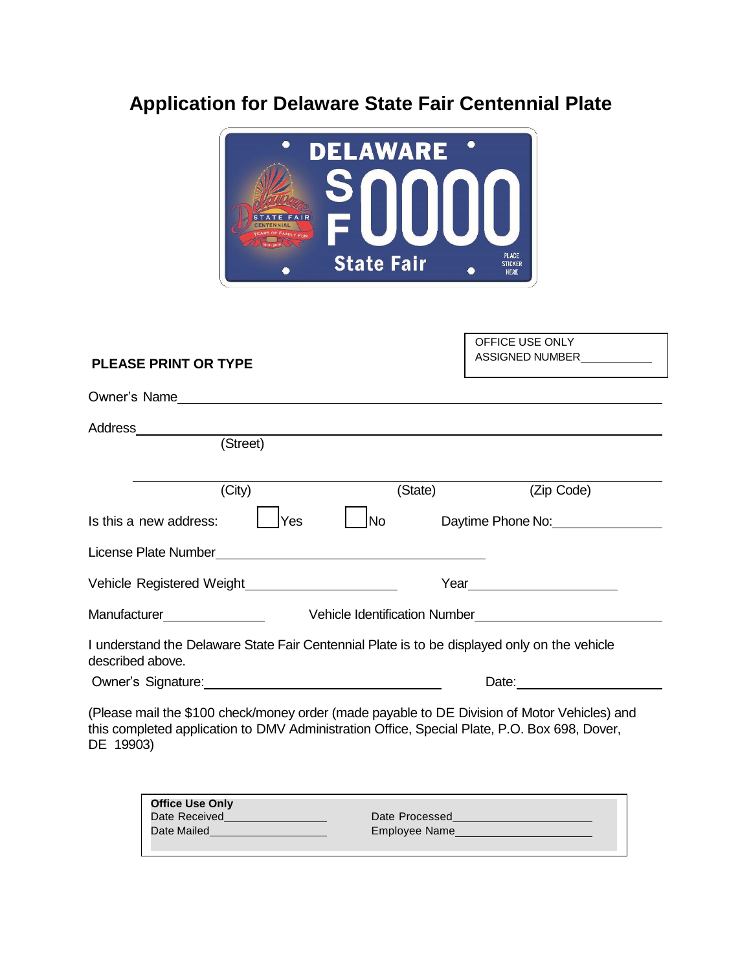## **Application for Delaware State Fair Centennial Plate**



## **PLEASE PRINT OR TYPE**  Owner's Name Address (Street) (City) (State) (State) (Zip Code) Is this a new address:  $\Box$  Yes  $\Box$  No Daytime Phone No: No Apple 1 Section 1 Section 1 Section 1 Section 1 Section 1 Section 1 Section 1 Section 1 Section 1 Section 1 Section 1 Section 1 Section 1 Section 1 Section 1 Sec License Plate Number Vehicle Registered Weight Year Manufacturer Vehicle Identification Number I understand the Delaware State Fair Centennial Plate is to be displayed only on the vehicle described above. Owner's Signature: Date: Date: Date: Date: Date: Date: Date: Date: Date: Date: Date: Date: Date: Date: Date: Date: Date: Date: Date: Date: Date: Date: Date: Date: Date: Date: Date: Date: Date: Date: Date: Date: Date: Date: (Please mail the \$100 check/money order (made payable to DE Division of Motor Vehicles) and this completed application to DMV Administration Office, Special Plate, P.O. Box 698, Dover, DE 19903) OFFICE USE ONLY ASSIGNED NUMBER **Office Use Only** Date Received

Date Processed

Date Mailed

Employee Name